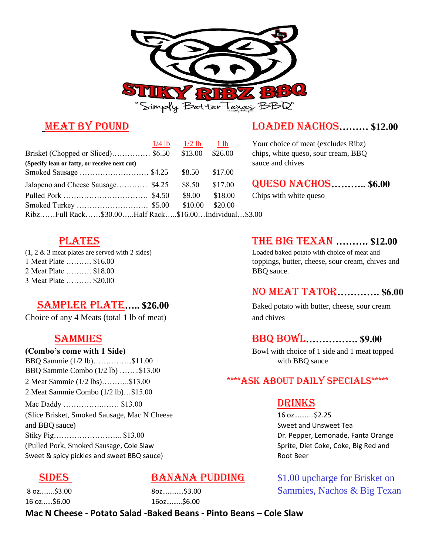

|                                                      | $1/4$ lb | $1/2$ lb | 1 lb    | Yo             |
|------------------------------------------------------|----------|----------|---------|----------------|
| Brisket (Chopped or Sliced) \$6.50                   |          | \$13.00  | \$26.00 | chi            |
| (Specify lean or fatty, or receive next cut)         |          |          |         | sau            |
|                                                      |          | \$8.50   | \$17.00 |                |
| Jalapeno and Cheese Sausage \$4.25                   |          | \$8.50   | \$17.00 | $\mathbf{Q}$ l |
|                                                      |          | \$9.00   | \$18.00 | Chi            |
|                                                      |          | \$10.00  | \$20.00 |                |
| RibzFull Rack\$30.00Half Rack\$16.00Individual\$3.00 |          |          |         |                |

### **MEAT BY POUND LOADED NACHOS……… \$12.00**

Your choice of meat (excludes Ribz) chips, white queso, sour cream, BBQ sauce and chives

### Jalapeno and Cheese Sausage………… \$4.25 \$8.50 \$17.00 Queso Nachos**……….. \$6.00**

Chips with white queso

2 Meat Plate ………. \$18.00 BBQ sauce. 3 Meat Plate ………. \$20.00

### **SAMPLER PLATE..... \$26.00** Baked potato with butter, cheese, sour cream

Choice of any 4 Meats (total 1 lb of meat) and chives

BBQ Sammie (1/2 lb)………………\$11.00 with BBQ sauce BBQ Sammie Combo (1/2 lb) ……..\$13.00 2 Meat Sammie Combo (1/2 lb)…\$15.00 Mac Daddy ……………………… \$13.00 DRINKS (Slice Brisket, Smoked Sausage, Mac N Cheese 16 oz………..\$2.25 and BBQ sauce) Sweet and Unsweet Tea and BBQ sauce Sweet and Unsweet Tea and Unsweet Tea and Unsweet Tea and Unsweet Tea and Unsweet Tea and Unsweet Tea and Unsweet Tea and Unsweet Tea and Unsweet Tea and Unsweet Tea and U Stiky Pig……………………... \$13.00 Dr. Pepper, Lemonade, Fanta Orange (Pulled Pork, Smoked Sausage, Cole Slaw Sprite, Diet Coke, Coke, Big Red and Sweet & spicy pickles and sweet BBQ sauce) and the example of the Root Beer

16 oz……\$6.00 16oz………\$6.00

### **PLATES** THE BIG TEXAN .......... \$12.00

(1, 2 & 3 meat plates are served with 2 sides) Loaded baked potato with choice of meat and 1 Meat Plate ………. \$16.00 toppings, butter, cheese, sour cream, chives and

### No Meat Tator**…………. \$6.00**

### Sammies BBQ Bowl**……………. \$9.00**

**(Combo's come with 1 Side)** Bowl with choice of 1 side and 1 meat topped

### 2 Meat Sammie (1/2 lbs)………..\$13.00 \*\*\*\*\* ASK ABOUT DAILY SPECIALS\*\*\*\*\*

**SIDES** BANANA PUDDING \$1.00 upcharge for Brisket on 8 oz……..\$3.00 8oz…………\$3.00 Sammies, Nachos & Big Texan

**Mac N Cheese - Potato Salad -Baked Beans - Pinto Beans – Cole Slaw**